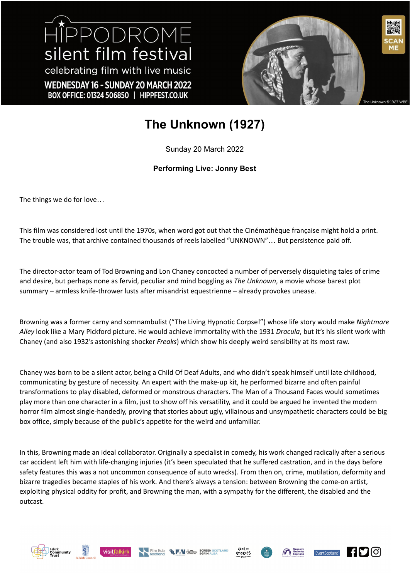HIPPODROME silent film festival celebrating film with live music WEDNESDAY 16 - SUNDAY 20 MARCH 2022 BOX OFFICE: 01324 506850 | HIPPFEST.CO.UK



## **The Unknown (1927)**

Sunday 20 March 2022

## **Performing Live: Jonny Best**

The things we do for love…

This film was considered lost until the 1970s, when word got out that the Cinémathèque française might hold a print. The trouble was, that archive contained thousands of reels labelled "UNKNOWN"… But persistence paid off.

The director-actor team of Tod Browning and Lon Chaney concocted a number of perversely disquieting tales of crime and desire, but perhaps none as fervid, peculiar and mind boggling as *The Unknown*, a movie whose barest plot summary – armless knife-thrower lusts after misandrist equestrienne – already provokes unease.

Browning was a former carny and somnambulist ("The Living Hypnotic Corpse!") whose life story would make *Nightmare Alley* look like a Mary Pickford picture. He would achieve immortality with the 1931 *Dracula*, but it's his silent work with Chaney (and also 1932's astonishing shocker *Freaks*) which show his deeply weird sensibility at its most raw.

Chaney was born to be a silent actor, being a Child Of Deaf Adults, and who didn't speak himself until late childhood, communicating by gesture of necessity. An expert with the make-up kit, he performed bizarre and often painful transformations to play disabled, deformed or monstrous characters. The Man of a Thousand Faces would sometimes play more than one character in a film, just to show off his versatility, and it could be argued he invented the modern horror film almost single-handedly, proving that stories about ugly, villainous and unsympathetic characters could be big box office, simply because of the public's appetite for the weird and unfamiliar.

In this, Browning made an ideal collaborator. Originally a specialist in comedy, his work changed radically after a serious car accident left him with life-changing injuries (it's been speculated that he suffered castration, and in the days before safety features this was a not uncommon consequence of auto wrecks). From then on, crime, mutilation, deformity and bizarre tragedies became staples of his work. And there's always a tension: between Browning the come-on artist, exploiting physical oddity for profit, and Browning the man, with a sympathy for the different, the disabled and the outcast.













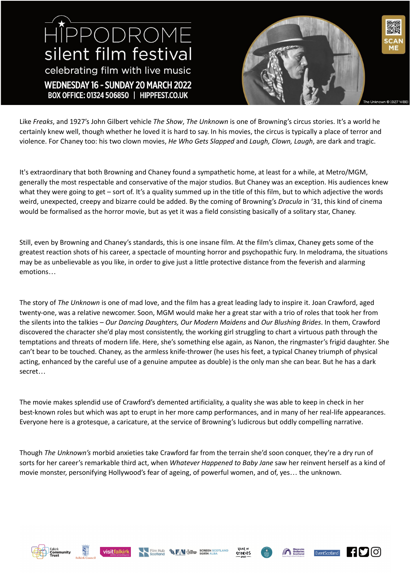## HIPPODROME silent film festival celebrating film with live music WEDNESDAY 16 - SUNDAY 20 MARCH 2022 BOX OFFICE: 01324 506850 | HIPPFEST.CO.UK



Like *Freaks*, and 1927's John Gilbert vehicle *The Show*, *The Unknown* is one of Browning's circus stories. It's a world he certainly knew well, though whether he loved it is hard to say. In his movies, the circus is typically a place of terror and violence. For Chaney too: his two clown movies, *He Who Gets Slapped* and *Laugh, Clown, Laugh*, are dark and tragic.

It's extraordinary that both Browning and Chaney found a sympathetic home, at least for a while, at Metro/MGM, generally the most respectable and conservative of the major studios. But Chaney was an exception. His audiences knew what they were going to get – sort of. It's a quality summed up in the title of this film, but to which adjective the words weird, unexpected, creepy and bizarre could be added. By the coming of Browning's *Dracula* in '31, this kind of cinema would be formalised as the horror movie, but as yet it was a field consisting basically of a solitary star, Chaney.

Still, even by Browning and Chaney's standards, this is one insane film. At the film's climax, Chaney gets some of the greatest reaction shots of his career, a spectacle of mounting horror and psychopathic fury. In melodrama, the situations may be as unbelievable as you like, in order to give just a little protective distance from the feverish and alarming emotions…

The story of *The Unknown* is one of mad love, and the film has a great leading lady to inspire it. Joan Crawford, aged twenty-one, was a relative newcomer. Soon, MGM would make her a great star with a trio of roles that took her from the silents into the talkies – *Our Dancing Daughters, Our Modern Maidens* and *Our Blushing Brides*. In them, Crawford discovered the character she'd play most consistently, the working girl struggling to chart a virtuous path through the temptations and threats of modern life. Here, she's something else again, as Nanon, the ringmaster's frigid daughter. She can't bear to be touched. Chaney, as the armless knife-thrower (he uses his feet, a typical Chaney triumph of physical acting, enhanced by the careful use of a genuine amputee as double) is the only man she can bear. But he has a dark secret…

The movie makes splendid use of Crawford's demented artificiality, a quality she was able to keep in check in her best-known roles but which was apt to erupt in her more camp performances, and in many of her real-life appearances. Everyone here is a grotesque, a caricature, at the service of Browning's ludicrous but oddly compelling narrative.

Though *The Unknown's* morbid anxieties take Crawford far from the terrain she'd soon conquer, they're a dry run of sorts for her career's remarkable third act, when *Whatever Happened to Baby Jane* saw her reinvent herself as a kind of movie monster, personifying Hollywood's fear of ageing, of powerful women, and of, yes… the unknown.